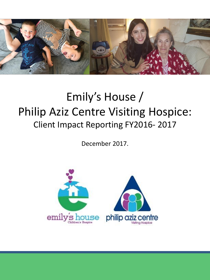

# Emily's House / Philip Aziz Centre Visiting Hospice: Client Impact Reporting FY2016- 2017

December 2017.

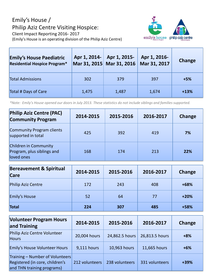## Emily's House / Philip Aziz Centre Visiting Hospice: Client Impact Reporting 2016- 2017 (Emily's House is an operating division of the Philip Aziz Centre)



| <b>Emily's House Paediatric</b><br><b>Residential Hospice Program*</b> | Apr 1, 2014- | Apr 1, 2015-<br>Mar 31, 2015 Mar 31, 2016 | Apr 1, 2016-<br>Mar 31, 2017 | Change |
|------------------------------------------------------------------------|--------------|-------------------------------------------|------------------------------|--------|
| <b>Total Admissions</b>                                                | 302          | 379                                       | 397                          | $+5%$  |
| Total # Days of Care                                                   | 1,475        | 1,487                                     | 1,674                        | $+13%$ |

*\*Note: Emily's House opened our doors in July 2013. These statistics do not include siblings and families supported.* 

| <b>Philip Aziz Centre (PAC)</b><br><b>Community Program</b>       | 2014-2015 | 2015-2016 | 2016-2017 | Change     |
|-------------------------------------------------------------------|-----------|-----------|-----------|------------|
| Community Program clients<br>supported in total                   | 425       | 392       | 419       | 7%         |
| Children in Community<br>Program, plus siblings and<br>loved ones | 168       | 174       | 213       | <b>22%</b> |

| <b>Bereavement &amp; Spiritual</b><br><b>Care</b> | 2014-2015 | 2015-2016 | 2016-2017 | Change |
|---------------------------------------------------|-----------|-----------|-----------|--------|
| Philip Aziz Centre                                | 172       | 243       | 408       | $+68%$ |
| Emily's House                                     | 52        | 64        | 77        | $+20%$ |
| Total                                             | 224       | 307       | 485       | +58%   |

| <b>Volunteer Program Hours</b><br>and Training                                                   | 2014-2015      | 2015-2016      | 2016-2017      | Change |
|--------------------------------------------------------------------------------------------------|----------------|----------------|----------------|--------|
| Philip Aziz Centre Volunteer<br><b>Hours</b>                                                     | 20,004 hours   | 24,862.5 hours | 26,813.5 hours | $+8%$  |
| Emily's House Volunteer Hours                                                                    | 9,111 hours    | 10,963 hours   | 11,665 hours   | $+6%$  |
| Training - Number of Volunteers<br>Registered (in core, children's<br>and THN training programs) | 212 volunteers | 238 volunteers | 331 volunteers | +39%   |